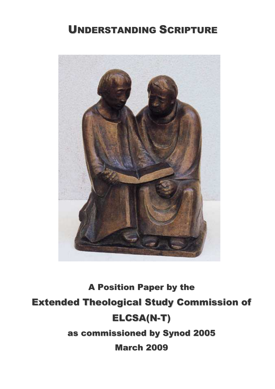## UNDERSTANDING SCRIPTURE



# A Position Paper by the Extended Theological Study Commission of ELCSA(N-T) as commissioned by Synod 2005 March 2009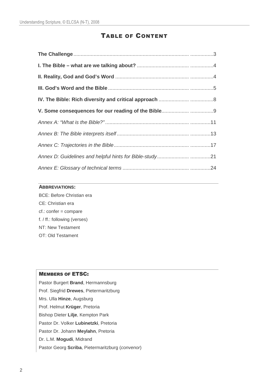## TABLE OF CONTENT

#### **ABBREVIATIONS:**

BCE: Before Christian era CE: Christian era cf.: confer = compare f. / ff.: following (verses) NT: New Testament OT: Old Testament

#### MEMBERS OF ETSC:

Pastor Burgert **Brand**, Hermannsburg Prof. Siegfrid **Drewes**, Pietermaritzburg Mrs. Ulla **Hinze**, Augsburg Prof. Helmut **Krüger**, Pretoria Bishop Dieter **Lilje**, Kempton Park Pastor Dr. Volker **Lubinetzki**, Pretoria Pastor Dr. Johann **Meylahn**, Pretoria Dr. L.M. **Mogudi**, Midrand Pastor Georg Scriba, Pietermaritzburg (convenor)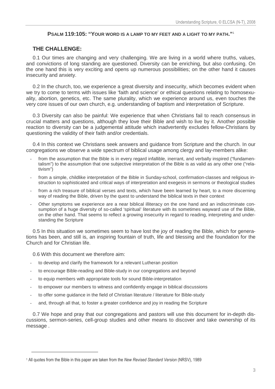#### **PSALM 119:105: "YOUR WORD IS A LAMP TO MY FEET AND A LIGHT TO MY PATH."**<sup>1</sup>

## **THE CHALLENGE:**

0.1 Our times are changing and very challenging. We are living in a world where truths, values, and convictions of long standing are questioned. Diversity can be enriching, but also confusing. On the one hand this is very exciting and opens up numerous possibilities; on the other hand it causes insecurity and anxiety.

0.2 In the church, too, we experience a great diversity and insecurity, which becomes evident when we try to come to terms with issues like 'faith and science' or ethical questions relating to homosexuality, abortion, genetics, etc. The same plurality, which we experience around us, even touches the very core issues of our own church, e.g. understanding of baptism and interpretation of Scripture.

0.3 Diversity can also be painful: We experience that when Christians fail to reach consensus in crucial matters and questions, although they love their Bible and wish to live by it. Another possible reaction to diversity can be a judgemental attitude which inadvertently excludes fellow-Christians by questioning the validity of their faith and/or credentials.

0.4 In this context we Christians seek answers and guidance from Scripture and the church. In our congregations we observe a wide spectrum of biblical usage among clergy and lay-members alike:

- from the assumption that the Bible is in every regard infallible, inerrant, and verbally inspired ("fundamentalism") to the assumption that one subjective interpretation of the Bible is as valid as any other one ("relativism")
- from a simple, childlike interpretation of the Bible in Sunday-school, confirmation-classes and religious instruction to sophisticated and critical ways of interpretation and exegesis in sermons or theological studies
- from a rich treasure of biblical verses and texts, which have been learned by heart, to a more discerning way of reading the Bible, driven by the quest to understand the biblical texts in their context
- Other symptoms we experience are a near biblical illiteracy on the one hand and an indiscriminate consumption of a huge diversity of so-called 'spiritual' literature with its sometimes wayward use of the Bible, on the other hand. That seems to reflect a growing insecurity in regard to reading, interpreting and understanding the Scripture

0.5 In this situation we sometimes seem to have lost the joy of reading the Bible, which for generations has been, and still is, an inspiring fountain of truth, life and blessing and the foundation for the Church and for Christian life.

0.6 With this document we therefore aim:

- to develop and clarify the framework for a relevant Lutheran position
- to encourage Bible-reading and Bible-study in our congregations and beyond
- to equip members with appropriate tools for sound Bible-interpretation
- to empower our members to witness and confidently engage in biblical discussions
- to offer some guidance in the field of Christian literature / literature for Bible-study
- and, through all that, to foster a greater confidence and joy in reading the Scripture

0.7 We hope and pray that our congregations and pastors will use this document for in-depth discussions, sermon-series, cell-group studies and other means to discover and take ownership of its message .

<sup>&</sup>lt;sup>1</sup> All quotes from the Bible in this paper are taken from the New Revised Standard Version (NRSV), 1989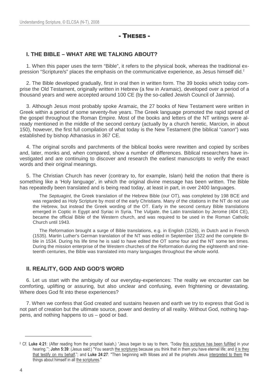## - THESES -

## **I. THE BIBLE – WHAT ARE WE TALKING ABOUT?**

1. When this paper uses the term "Bible", it refers to the physical book, whereas the traditional expression "Scripture/s" places the emphasis on the communicative experience, as Jesus himself did.<sup>2</sup>

2. The Bible developed gradually, first in oral then in written form. The 39 books which today comprise the Old Testament, originally written in Hebrew (a few in Aramaic), developed over a period of a thousand years and were accepted around 100 CE (by the so-called Jewish Council of Jamnia).

3. Although Jesus most probably spoke Aramaic, the 27 books of New Testament were written in Greek within a period of some seventy-five years. The Greek language promoted the rapid spread of the gospel throughout the Roman Empire. Most of the books and letters of the NT writings were already mentioned in the middle of the second century (actually by a church heretic, Marcion, in about 150), however, the first full compilation of what today is the New Testament (the biblical "canon") was established by bishop Athanasius in 367 CE.

4. The original scrolls and parchments of the biblical books were rewritten and copied by scribes and, later, monks and, when compared, show a number of differences. Biblical researchers have investigated and are continuing to discover and research the earliest manuscripts to verify the exact words and their original meanings.

5. The Christian Church has never (contrary to, for example, Islam) held the notion that there is something like a 'Holy language', in which the original divine message has been written. The Bible has repeatedly been translated and is being read today, at least in part, in over 2400 languages.

The Septuagint, the Greek translation of the Hebrew Bible (our OT), was completed by 198 BCE and was regarded as Holy Scripture by most of the early Christians. Many of the citations in the NT do not use the Hebrew, but instead the Greek wording of the OT. Early in the second century Bible translations emerged in Coptic in Egypt and Syriac in Syria. The Vulgate, the Latin translation by Jerome (404 CE), became the official Bible of the Western church, and was required to be used in the Roman Catholic Church until 1943.

The Reformation brought a surge of Bible translations, e.g. in English (1526), in Dutch and in French (1535). Martin Luther's German translation of the NT was edited in September 1522 and the complete Bible in 1534. During his life time he is said to have edited the OT some four and the NT some ten times. During the mission enterprise of the Western churches of the Reformation during the eighteenth and nineteenth centuries, the Bible was translated into many languages throughout the whole world.

## **II. REALITY, GOD AND GOD'S WORD**

6. Let us start with the ambiguity of our everyday-experiences: The reality we encounter can be comforting, uplifting or assuring, but also unclear and confusing, even frightening or devastating. Where does God fit into these experiences?

7. When we confess that God created and sustains heaven and earth we try to express that God is not part of creation but the ultimate source, power and destiny of all reality. Without God, nothing happens, and nothing happens to us – good or bad.

<sup>&</sup>lt;sup>2</sup> Cf. Luke 4:21: (After reading from the prophet Isaiah,) "Jesus began to say to them, 'Today this scripture has been fulfilled in your hearing."; John 5:39: (Jesus said:) "You search the scriptures because you think that in them you have eternal life; and it is they that testify on my behalf."; and Luke 24:27: "Then beginning with Moses and all the prophets Jesus interpreted to them the things about himself in all the scriptures."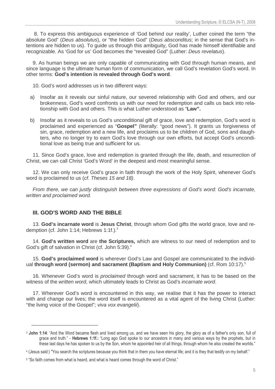8. To express this ambiguous experience of 'God behind our reality', Luther coined the term "the absolute God" (Deus absolutus), or "the hidden God" (Deus absconditus; in the sense that God's intentions are hidden to us). To guide us through this ambiguity, God has made himself identifiable and recognizable. As 'God for us' God becomes the "revealed God" (Luther: Deus revelatus).

9. As human beings we are only capable of communicating with God through human means, and since language is the ultimate human form of communication, we call God's revelation God's word. In other terms: **God's intention is revealed through God's word**.

10. God's word addresses us in two different ways:

- a) Insofar as it reveals our sinful nature, our severed relationship with God and others, and our brokenness, God's word confronts us with our need for redemption and calls us back into relationship with God and others. This is what Luther understood as "**Law".**
- b) Insofar as it reveals to us God's unconditional gift of grace, love and redemption, God's word is proclaimed and experienced as "**Gospel"** (literally: "good news"). It grants us forgiveness of sin, grace, redemption and a new life, and proclaims us to be children of God, sons and daughters, who no longer try to earn God's love through our own efforts, but accept God's unconditional love as being true and sufficient for us.

11. Since God's grace, love and redemption is granted through the life, death, and resurrection of Christ, we can call Christ 'God's Word' in the deepest and most meaningful sense.

12. We can only receive God's grace in faith through the work of the Holy Spirit, whenever God's word is proclaimed to us (cf. Theses 15 and 18).

From there, we can justly distinguish between three expressions of God's word: God's incarnate, written and proclaimed word.

## **III. GOD'S WORD AND THE BIBLE**

13. **God's incarnate word** is **Jesus Christ**, through whom God gifts the world grace, love and redemption (cf. John 1:14; Hebrews 1:1f.).<sup>3</sup>

14. **God's written word** are **the Scriptures,** which are witness to our need of redemption and to God's gift of salvation in Christ (cf. John 5:39).<sup>4</sup>

15. **God's proclaimed word** is wherever God's Law and Gospel are communicated to the individual **through word (sermon) and sacrament (Baptism and Holy Communion)** (cf. Rom 10:17).<sup>5</sup>

16. Whenever God's word is *proclaimed* through word and sacrament, it has to be based on the witness of the written word, which ultimately leads to Christ as God's incarnate word.

17. Wherever God's word is encountered in this way, we realise that it has the power to interact with and change our lives; the word itself is encountered as a vital agent of the living Christ (Luther: "the living voice of the Gospel"; viva vox evangelii).

<sup>&</sup>lt;sup>3</sup> John 1:14: "And the Word became flesh and lived among us, and we have seen his glory, the glory as of a father's only son, full of grace and truth." - **Hebrews 1:1f.:** "Long ago God spoke to our ancestors in many and various ways by the prophets, but in these last days he has spoken to us by the Son, whom he appointed heir of all things, through whom he also created the worlds."

<sup>4</sup> (Jesus said:) "You search the scriptures because you think that in them you have eternal life; and it is they that testify on my behalf."

<sup>5</sup> "So faith comes from what is heard, and what is heard comes through the word of Christ."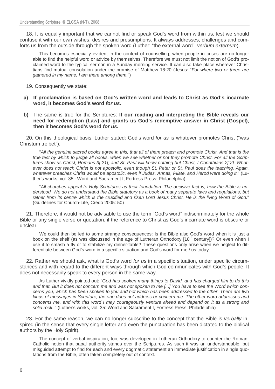18. It is equally important that we cannot find or speak God's word from within us, lest we should confuse it with our own wishes, desires and presumptions. It always addresses, challenges and comforts us from the outside through the spoken word (Luther: "the external word"; verbum externum).

This becomes especially evident in the context of counselling, when people in crises are no longer able to find the helpful word or advice by themselves. Therefore we must not limit the notion of God's proclaimed word to the typical sermon in a Sunday morning service. It can also take place wherever Christians find mutual consolation under the promise of Matthew 18:20 (Jesus: "For where two or three are gathered in my name, I am there among them.")

- 19. Consequently we state:
- **a) If proclamation is based on God's written word and leads to Christ as God's incarnate word, it becomes God's word for us.**
- **b)** The same is true for the Scriptures: **If our reading and interpreting the Bible reveals our need for redemption (Law) and grants us God's redemptive answer in Christ (Gospel), then it becomes God's word for us.**

20. On this theological basis, Luther stated: God's word for us is whatever promotes Christ ("was Christum treibet").

"All the genuine sacred books agree in this, that all of them preach and promote Christ. And that is the true test by which to judge all books, when we see whether or not they promote Christ. For all the Scriptures show us Christ, Romans 3[:21]; and St. Paul will know nothing but Christ, I Corinthians 2[:2]. Whatever does not teach Christ is not apostolic, even though St. Peter or St. Paul does the teaching. Again, whatever preaches Christ would be apostolic, even if Judas, Annas, Pilate, and Herod were doing it." (Luther's works, vol. 35 : Word and Sacrament I, Fortress Press: Philadelphia)

"All churches appeal to Holy Scriptures as their foundation. The decisive fact is, how the Bible is understood. We do not understand the Bible statutory as a book of many separate laws and regulations, but rather from its centre which is the crucified and risen Lord Jesus Christ. He is the living Word of God." (Guidelines for Church-Life, Credo 2005: 50)

21. Therefore, it would not be advisable to use the term "God's word" indiscriminately for the whole Bible or any single verse or quotation, if the reference to Christ as God's incarnate word is obscure or unclear.

We could then be led to some strange consequences: Is the Bible also God's word when it is just a book on the shelf (as was discussed in the age of Lutheran Orthodoxy [18<sup>th</sup> century])? Or even when I use it to smash a fly or to stabilize my dinner-table? These questions only arise when we neglect to differentiate between God's word in a specific situation and God's word for me / us today.

22. Rather we should ask, what is God's word for us in a specific situation, under specific circumstances and with regard to the different ways through which God communicates with God's people. It does not necessarily speak to every person in the same way.

As Luther vividly pointed out: "God has spoken many things to David, and has charged him to do this and that. But it does not concern me and was not spoken to me [...] You have to see the Word which concerns you, which has been spoken to you and not which has been addressed to the other. There are two kinds of messages in Scripture, the one does not address or concern me. The other word addresses and concerns me, and with this word I may courageously venture ahead and depend on it as a strong and solid rock.." (Luther's works, vol. 35: Word and Sacrament I, Fortress Press: Philadelphia)

23. For the same reason, we can no longer subscribe to the concept that the Bible is verbally inspired (in the sense that every single letter and even the punctuation has been dictated to the biblical authors by the Holy Spirit).

The concept of verbal inspiration, too, was developed in Lutheran Orthodoxy to counter the Roman-Catholic notion that papal authority stands over the Scriptures. As such it was an understandable, but misguided attempt to find for each and every dogmatic statement an immediate justification in single quotations from the Bible, often taken completely out of context.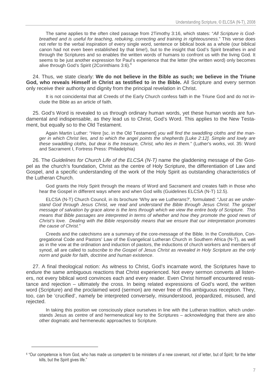The same applies to the often cited passage from 2Timothy 3:16, which states: "All Scripture is Godbreathed and is useful for teaching, rebuking, correcting and training in righteousness." This verse does not refer to the verbal inspiration of every single word, sentence or biblical book as a whole (our biblical canon had not even been established by that time!), but to the insight that God's Spirit breathes in and through the Scriptures and so enables the written words of humans to confront us with the living God. It seems to be just another expression for Paul's experience that the letter (the written word) only becomes alive through God's Spirit (2Corinthians 3:6).<sup>6</sup>

24. Thus, we state clearly: **We do not believe in the Bible as such; we believe in the Triune God, who reveals Himself in Christ as testified to in the Bible.** All Scripture and every sermon only receive their authority and dignity from the principal revelation in Christ.

It is not coincidental that all Creeds of the Early Church confess faith in the Triune God and do not include the Bible as an article of faith.

25. God's Word is revealed to us through ordinary human words, yet these human words are fundamental and indispensable, as they lead us to Christ, God's Word. This applies to the New Testament, but equally so to the Old Testament.

Again Martin Luther: "Here [sc. in the Old Testament] you will find the swaddling cloths and the manger in which Christ lies, and to which the angel points the shepherds [Luke 2:12]. Simple and lowly are these swaddling cloths, but dear is the treasure, Christ, who lies in them." (Luther's works, vol. 35: Word and Sacrament I, Fortress Press: Philadelphia)

26. The Guidelines for Church Life of the ELCSA (N-T) name the gladdening message of the Gospel as the church's foundation, Christ as the centre of Holy Scripture, the differentiation of Law and Gospel, and a specific understanding of the work of the Holy Spirit as outstanding characteristics of the Lutheran Church.

God grants the Holy Spirit through the means of Word and Sacrament and creates faith in those who hear the Gospel in different ways where and when God wills (Guidelines ELCSA (N-T) 12.5).

ELCSA (N-T) Church Council, in its brochure 'Why are we Lutherans?', formulated: "Just as we understand God through Jesus Christ, we read and understand the Bible through Jesus Christ. The gospel message of salvation by grace alone is the lens through which we view the entire body of Scripture. This means that Bible passages are interpreted in terms of whether and how they promote the good news of Christ's love. Dealing with the Bible responsibly means that we ensure that our interpretation promotes the cause of Christ"

Creeds and the catechisms are a summary of the core-message of the Bible. In the Constitution, Congregational Code and Pastors' Law of the Evangelical Lutheran Church in Southern Africa (N-T), as well as in the vow at the ordination and induction of pastors, the inductions of church workers and members of synod, all are called to subscribe to the Gospel of Jesus Christ as revealed in Holy Scripture as the only norm and guide for faith, doctrine and human existence.

27. A final theological notion: As witness to Christ, God's incarnate word, the Scriptures have to endure the same ambiguous reactions that Christ experienced. Not every sermon converts all listeners, not every biblical word convinces each and every reader. Even Christ himself encountered resistance and rejection – ultimately the cross. In being related expressions of God's word, the written word (Scripture) and the proclaimed word (sermon) are never free of this ambiguous reception. They, too, can be 'crucified', namely be interpreted conversely, misunderstood, jeopardized, misused, and rejected.

In taking this position we consciously place ourselves in line with the Lutheran tradition, which understands Jesus as centre of and hermeneutical key to the Scriptures – acknowledging that there are also other dogmatic and hermeneutic approaches to Scripture.

<sup>6</sup> "Our competence is from God, who has made us competent to be ministers of a new covenant, not of letter, but of Spirit; for the letter kills, but the Spirit gives life."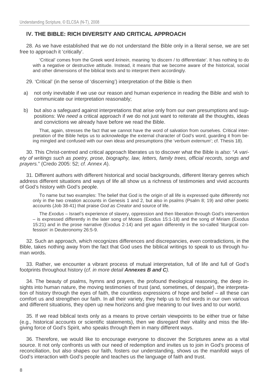## **IV. THE BIBLE: RICH DIVERSITY AND CRITICAL APPROACH**

28. As we have established that we do not understand the Bible only in a literal sense, we are set free to approach it 'critically'.

'Critical' comes from the Greek word krinein, meaning 'to discern / to differentiate'. It has nothing to do with a negative or destructive attitude. Instead, it means that we become aware of the historical, social and other dimensions of the biblical texts and to interpret them accordingly.

29. 'Critical' (in the sense of 'discerning') interpretation of the Bible is then

- a) not only inevitable if we use our reason and human experience in reading the Bible and wish to communicate our interpretation reasonably;
- b) but also a safeguard against interpretations that arise only from our own presumptions and suppositions: We need a critical approach if we do not just want to reiterate all the thoughts, ideas and convictions we already have before we read the Bible.

That, again, stresses the fact that we cannot have the word of salvation from ourselves. Critical interpretation of the Bible helps us to acknowledge the external character of God's word, guarding it from being mingled and confused with our own ideas and presumptions (the 'verbum externum'; cf. Thesis 18).

30. This Christ-centred and critical approach liberates us to discover what the Bible is also: "A variety of writings such as poetry, prose, biography, law, letters, family trees, official records, songs and prayers." (Credo 2005: 52; cf. Annex A).

31. Different authors with different historical and social backgrounds, different literary genres which address different situations and ways of life all show us a richness of testimonies and vivid accounts of God's history with God's people.

To name but two examples: The belief that God is the origin of all life is expressed quite differently not only in the two creation accounts in Genesis 1 and 2, but also in psalms (Psalm 8; 19) and other poetic accounts (Job 38-41) that praise God as Creator and source of life.

The Exodus - Israel's experience of slavery, oppression and then liberation through God's intervention – is expressed differently in the later song of Moses (Exodus 15:1-18) and the song of Miriam (Exodus 15:21) and in the prose narrative (Exodus 2-14) and yet again differently in the so-called 'liturgical confession' in Deuteronomy 26:5-9.

32. Such an approach, which recognizes differences and discrepancies, even contradictions, in the Bible, takes nothing away from the fact that God uses the biblical writings to speak to us through human words.

33. Rather, we encounter a vibrant process of mutual interpretation, full of life and full of God's footprints throughout history (cf. in more detail **Annexes B and C**).

34. The beauty of psalms, hymns and prayers, the profound theological reasoning, the deep insights into human nature, the moving testimonies of trust (and, sometimes, of despair), the interpretation of history through the eyes of faith, the countless expressions of hope and belief – all these can comfort us and strengthen our faith. In all their variety, they help us to find words in our own various and different situations, they open up new horizons and give meaning to our lives and to our world.

35. If we read biblical texts only as a means to prove certain viewpoints to be either true or false (e.g., historical accounts or scientific statements), then we disregard their vitality and miss the lifegiving force of God's Spirit, who speaks through them in many different ways.

36. Therefore, we would like to encourage everyone to discover the Scriptures anew as a vital source. It not only confronts us with our need of redemption and invites us to join in God's process of reconciliation, but also shapes our faith, fosters our understanding, shows us the manifold ways of God's interaction with God's people and teaches us the language of faith and trust.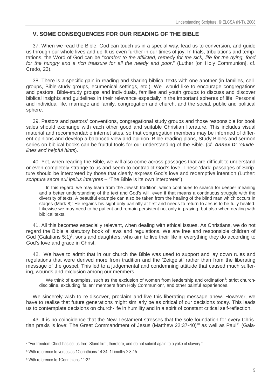## **V. SOME CONSEQUENCES FOR OUR READING OF THE BIBLE**

37. When we read the Bible, God can touch us in a special way, lead us to conversion, and guide us through our whole lives and uplift us even further in our times of joy. In trials, tribulations and temptations, the Word of God can be "comfort to the afflicted, remedy for the sick, life for the dying, food for the hungry and a rich treasure for all the needy and poor." (Luther [on Holy Communion], cf. Credo, 23).

38. There is a specific gain in reading and sharing biblical texts with one another (in families, cellgroups, Bible-study groups, ecumenical settings, etc.). We would like to encourage congregations and pastors, Bible-study groups and individuals, families and youth groups to discuss and discover biblical insights and guidelines in their relevance especially in the important spheres of life: Personal and individual life, marriage and family, congregation and church, and the social, public and political sphere.

39. Pastors and pastors' conventions, congregational study groups and those responsible for book sales should exchange with each other good and suitable Christian literature. This includes visual material and recommendable internet sites, so that congregation members may be informed of different opinions and develop a balanced view and opinion. Bible reading-plans, Study Bibles and sermon series on biblical books can be fruitful tools for our understanding of the Bible. (cf. **Annex D**: "Guidelines and helpful hints).

40. Yet, when reading the Bible, we will also come across passages that are difficult to understand or even completely strange to us and seem to contradict God's love. These 'dark' passages of Scripture should be interpreted by those that clearly express God's love and redemptive intention (Luther: scriptura sacra sui ipsius interpres – "The Bible is its own interpreter").

In this regard, we may learn from the Jewish tradition, which continues to search for deeper meaning and a better understanding of the text and God's will, even if that means a continuous struggle with the diversity of texts. A beautiful example can also be taken from the healing of the blind man which occurs in stages (Mark 8): He regains his sight only partially at first and needs to return to Jesus to be fully healed. Likewise we may need to be patient and remain persistent not only in praying, but also when dealing with biblical texts.

41. All this becomes especially relevant, when dealing with ethical issues. As Christians, we do not regard the Bible a statutory book of laws and regulations. We are free and responsible children of God (Galatians  $5:1$ <sup>7</sup>, sons and daughters, who aim to live their life in everything they do according to God's love and grace in Christ.

42. We have to admit that in our church the Bible was used to support and lay down rules and regulations that were derived more from tradition and the 'Zeitgeist' rather than from the liberating message of the gospel. This led to a judgemental and condemning attitude that caused much suffering, wounds and exclusion among our members.

We think of examples, such as the exclusion of women from leadership and ordination<sup>8</sup>; strict churchdiscipline, excluding 'fallen' members from Holy Communion<sup>9</sup>, and other painful experiences.

We sincerely wish to re-discover, proclaim and live this liberating message anew. However, we have to realise that future generations might similarly be as critical of our decisions today. This leads us to contemplate decisions on church-life in humility and in a spirit of constant critical self-reflection.

43. It is no coincidence that the New Testament stresses that the sole foundation for every Christian praxis is love: The Great Commandment of Jesus (Matthew  $22:37-40$ )<sup>10</sup> as well as Paul<sup>11</sup> (Gala-

 $\overline{a}$ 

<sup>7</sup> "For freedom Christ has set us free. Stand firm, therefore, and do not submit again to a yoke of slavery."

<sup>8</sup> With reference to verses as 1Corinthians 14:34; 1Timothy 2:8-15.

<sup>9</sup> With reference to 1Corinthians 11:27.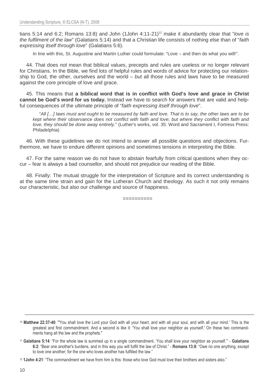tians 5:14 and 6:2; Romans 13:8) and John (1John  $4:11-21$ <sup>12</sup> make it abundantly clear that "love is the fulfilment of the law" (Galatians 5:14) and that a Christian life consists of nothing else than of "faith expressing itself through love" (Galatians 5:6).

In line with this, St. Augustine and Martin Luther could formulate: "Love – and then do what you will!".

44. That does not mean that biblical values, precepts and rules are useless or no longer relevant for Christians. In the Bible, we find lots of helpful rules and words of advice for protecting our relationship to God, the other, ourselves and the world  $-$  but all those rules and laws have to be measured against the core principle of love and grace.

45. This means that **a biblical word that is in conflict with God's love and grace in Christ cannot be God's word for us today.** Instead we have to search for answers that are valid and helpful consequences of the ultimate principle of "faith expressing itself through love".

"All […] laws must and ought to be measured by faith and love. That is to say, the other laws are to be kept where their observance does not conflict with faith and love; but where they conflict with faith and love, they should be done away entirely." (Luther's works, vol. 35: Word and Sacrament I, Fortress Press: Philadelphia)

46. With these guidelines we do not intend to answer all possible questions and objections. Furthermore, we have to endure different opinions and sometimes tensions in interpreting the Bible.

47. For the same reason we do not have to abstain fearfully from critical questions when they occur – fear is always a bad counsellor, and should not prejudice our reading of the Bible.

48. Finally: The mutual struggle for the interpretation of Scripture and its correct understanding is at the same time strain and gain for the Lutheran Church and theology. As such it not only remains our characteristic, but also our challenge and source of happiness.

==========

<sup>10</sup> Matthew 22:37-40: "'You shall love the Lord your God with all your heart, and with all your soul, and with all your mind.' This is the greatest and first commandment. And a second is like it: 'You shall love your neighbor as yourself.' On these two commandments hang all the law and the prophets."

<sup>11</sup> Galatians 5:14: "For the whole law is summed up in a single commandment, 'You shall love your neighbor as yourself.'" - Galatians 6:2: "Bear one another's burdens, and in this way you will fulfill the law of Christ." - Romans 13:8: "Owe no one anything, except to love one another; for the one who loves another has fulfilled the law."

<sup>12</sup> 1John 4:21: "The commandment we have from him is this: those who love God must love their brothers and sisters also."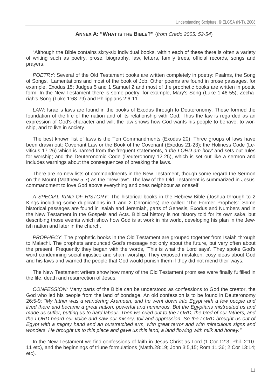#### **ANNEX A: "WHAT IS THE BIBLE?"** (from Credo 2005: 52-54)

"Although the Bible contains sixty-six individual books, within each of these there is often a variety of writing such as poetry, prose, biography, law, letters, family trees, official records, songs and prayers.

POETRY: Several of the Old Testament books are written completely in poetry: Psalms, the Song of Songs, Lamentations and most of the book of Job. Other poems are found in prose passages, for example, Exodus 15; Judges 5 and 1 Samuel 2 and most of the prophetic books are written in poetic form. In the New Testament there is some poetry, for example, Mary's Song (Luke 1:46-55), Zechariah's Song (Luke 1:68-79) and Philippians 2:6-11.

LAW: Israel's laws are found in the books of Exodus through to Deuteronomy. These formed the foundation of the life of the nation and of its relationship with God. Thus the law is regarded as an expression of God's character and will; the law shows how God wants his people to behave, to worship, and to live in society.

The best known list of laws is the Ten Commandments (Exodus 20). Three groups of laws have been drawn out: Covenant Law or the Book of the Covenant (Exodus 21-23); the Holiness Code (Leviticus 17-26) which is named from the frequent statements, '*I the LORD am holy'* and sets out rules for worship; and the Deuteronomic Code (Deuteronomy 12-25), which is set out like a sermon and includes warnings about the consequences of breaking the laws.

There are no new lists of commandments in the New Testament, though some regard the Sermon on the Mount (Matthew 5-7) as the "new law". The law of the Old Testament is summarized in Jesus' commandment to love God above everything and ones neighbour as oneself.

A SPECIAL KIND OF HISTORY: The historical books in the Hebrew Bible (Joshua through to 2 Kings including some duplications in 1 and 2 Chronicles) are called 'The Former Prophets'. Some historical passages are found in Isaiah and Jeremiah, parts of Genesis, Exodus and Numbers and in the New Testament in the Gospels and Acts. Biblical history is not history told for its own sake, but describing those events which show how God is at work in his world, developing his plan in the Jewish nation and later in the church.

PROPHECY: The prophetic books in the Old Testament are grouped together from Isaiah through to Malachi. The prophets announced God's message not only about the future, but very often about the present. Frequently they began with the words, 'This is what the Lord says'. They spoke God's word condemning social injustice and sham worship. They exposed mistaken, cosy ideas about God and his laws and warned the people that God would punish them if they did not mend their ways.

The New Testament writers show how many of the Old Testament promises were finally fulfilled in the life, death and resurrection of Jesus.

CONFESSION: Many parts of the Bible can be understood as confessions to God the creator, the God who led his people from the land of bondage. An old confession is to be found in Deuteronomy 26:5-9: "My father was a wandering Aramean, and he went down into Egypt with a few people and lived there and became a great nation, powerful and numerous. But the Egyptians mistreated us and made us suffer, putting us to hard labour. Then we cried out to the LORD, the God of our fathers, and the LORD heard our voice and saw our misery, toil and oppression. So the LORD brought us out of Egypt with a mighty hand and an outstretched arm, with great terror and with miraculous signs and wonders. He brought us to this place and gave us this land, a land flowing with milk and honey."

In the New Testament we find confessions of faith in Jesus Christ as Lord (1 Cor.12:3; Phil. 2:10- 11 etc), and the beginnings of triune formulations (Matth.28:19; John 3:5,15; Rom 11:36; 2 Cor 13:14; etc).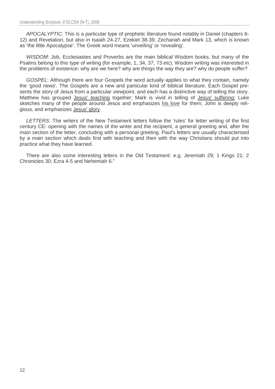APOCALYPTIC: This is a particular type of prophetic literature found notably in Daniel (chapters 6- 12) and Revelation, but also in Isaiah 24-27, Ezekiel 38-39, Zechariah and Mark 13, which is known as 'the little Apocalypse'. The Greek word means 'unveiling' or 'revealing'.

WISDOM: Job, Ecclesiastes and Proverbs are the main biblical Wisdom books, but many of the Psalms belong to this type of writing (for example, 1, 34, 37, 73 etc). Wisdom writing was interested in the problems of existence: why are we here? why are things the way they are? why do people suffer?

GOSPEL: Although there are four Gospels the word actually applies to what they contain, namely the 'good news'. The Gospels are a new and particular kind of biblical literature. Each Gospel presents the story of Jesus from a particular viewpoint, and each has a distinctive way of telling the story. Matthew has grouped Jesus' teaching together; Mark is vivid in telling of Jesus' suffering; Luke sketches many of the people around Jesus and emphasizes his love for them; John is deeply religious, and emphasizes Jesus' glory.

LETTERS: The writers of the New Testament letters follow the 'rules' for letter writing of the first century CE: opening with the names of the writer and the recipient, a general greeting and, after the main section of the letter, concluding with a personal greeting. Paul's letters are usually characterised by a main section which deals first with teaching and then with the way Christians should put into practice what they have learned.

There are also some interesting letters in the Old Testament: e.g. Jeremiah 29; 1 Kings 21; 2 Chronicles 30; Ezra 4-5 and Nehemiah 6."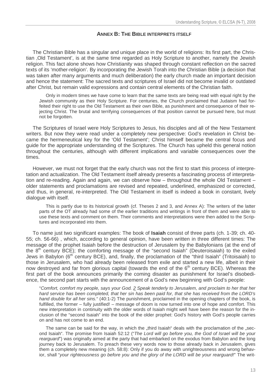## **ANNEX B: THE BIBLE INTERPRETS ITSELF**

The Christian Bible has a singular and unique place in the world of religions: Its first part, the Christian , Old Testament', is at the same time regarded as Holy Scripture to another, namely the Jewish religion. This fact alone shows how Christianity was shaped through constant reflection on the sacred texts of its 'mother-religion'. By incorporating the Jewish Torah into the Christian Bible (a decision that was taken after many arguments and much deliberation) the early church made an important decision and hence the statement: The sacred texts and scriptures of Israel did not become invalid or outdated after Christ, but remain valid expressions and contain central elements of the Christian faith.

Only in modern times we have come to learn that the same texts are being read with equal right by the Jewish community as their Holy Scripture. For centuries, the Church proclaimed that Judaism had forfeited their right to use the Old Testament as their own Bible, as punishment and consequence of their rejecting Christ. The brutal and terrifying consequences of that position cannot be pursued here, but must not be forgotten.

The Scriptures of Israel were Holy Scriptures to Jesus, his disciples and all of the New Testament writers. But now they were read under a completely new perspective: God's revelation in Christ became the hermeneutical key for the 'Old Testament'; Christ himself became the central focus and guide for the appropriate understanding of the Scriptures. The Church has upheld this general notion throughout the centuries, although with different implications and variable consequences over the times.

However, we must not forget that the early church was not the first to start this process of interpretation and actualization. The Old Testament itself already presents a fascinating process of interpretation and re-reading. Again and again, we can observe how – throughout the whole Old Testament – older statements and proclamations are revised and repeated, underlined, emphasized or corrected, and thus, in general, re-interpreted. The Old Testament in itself is indeed a book in constant, lively dialogue with itself.

This is partly due to its historical growth (cf. Theses 2 and 3, and Annex A): The writers of the latter parts of the OT already had some of the earlier traditions and writings in front of them and were able to use these texts and comment on them. Their comments and interpretations were then added to the Scriptures and incorporated into them.

To name just two significant examples: The book of **Isaiah** consist of three parts (ch. 1-39; ch. 40- 55; ch. 56-66) , which, according to general opinion, have been written in three different times: The message of the prophet Isaiah before the destruction of Jerusalem by the Babylonians (at the end of the  $8<sup>th</sup>$  century BCE); the comforting message of the "second Isaiah" (Deuteroisaiah) to the exiled Jews in Babylon (6<sup>th</sup> century BCE), and, finally, the proclamation of the "third Isaiah" (Tritoisaiah) to those in Jerusalem, who had already been released from exile and started a new life, albeit in their now destroyed and far from glorious capital (towards the end of the  $6<sup>th</sup>$  century BCE). Whereas the first part of the book announces primarily the coming disaster as punishment for Israel's disobedience, the second part starts with the announcement of a God's new beginning with God's people:

"Comfort, comfort my people, says your God. 2 Speak tenderly to Jerusalem, and proclaim to her that her hard service has been completed, that her sin has been paid for, that she has received from the LORD's hand double for all her sins." (40:1-2) The punishment, proclaimed in the opening chapters of the book, is fulfilled, the former – fully justified! – message of doom is now turned into one of hope and comfort. This new interpretation in continuity with the older words of Isaiah might well have been the reason for the inclusion of the "second Isaiah" into the book of the older prophet: God's history with God's people carries on and has not come to an end.

The same can be said for the way, in which the "third Isaiah" deals with the proclamation of the "second Isaiah". The promise from Isaiah 52:12 ("The Lord will go before you, the God of Israel will be your rearguard") was originally aimed at the party that had embarked on the exodus from Babylon and the long journey back to Jerusalem. To preach these very words now to those already back in Jerusalem, gives them a completely new meaning (ch. 58:8): Only if you do away with unrighteousness and wrong behavior, shall "your righteousness go before you and the glory of the LORD will be your rearguard!" The writ-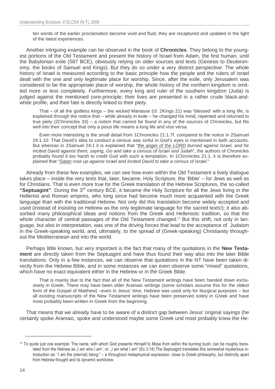ten words of the earlier proclamation become vivid and fluid, they are recaptured and updated in the light of the latest experiences.

Another intriguing example can be observed in the book of **Chronicles**. They belong to the youngest portions of the Old Testament and present the history of Israel from Adam, the first human, until the Babylonian exile (587 BCE), obviously relying on older sources and texts (Genesis to Deuteronomy, the books of Samuel and Kings). But they do so under a very distinct perspective: The whole history of Israel is measured according to the basic principle how the people and the rulers of Israel dealt with the one and only legitimate place for worship. Since, after the exile, only Jerusalem was considered to be the appropriate place of worship, the whole history of the northern kingdom is omitted more or less completely. Furthermore, every king and ruler of the southern kingdom (Juda) is judged against the mentioned core-principle; their lives are presented in a rather crude black-andwhite profile, and their fate is directly linked to their piety.

That – of all the godless kings – the wicked Manasse (cf. 2Kings 21) was 'blessed' with a long life, is explained through the notice that – while already in exile – he changed his mind, repented and returned to true piety (2Chronicles 33) – a notion that cannot be found in any of the sources of Chronicles, but fits well into their concept that only a pious life means a long life and vice versa.

Even more interesting is the small detail from 1Chronicles 21:1.7f. compared to the notice in 2Samuel 24:1.10: That David's idea to conduct a census was sinful in God's eyes is mentioned in both accounts. But whereas in 2Samuel 24:1 it is explained that "the anger of the LORD burned against Israel, and he incited David against them, saying, Go and take a census of Israel and Judah", the authors of Chronicles probably found it too harsh to credit God with such a temptation. In 1Chronicles 21:1, it is therefore explained that "Satan rose up against Israel and incited David to take a census of Israel."

Already from these few examples, we can see how even within the Old Testament a lively dialogue takes place – inside the very texts that, later, became, Holy Scripture, the 'Bible' – for Jews as well as for Christians. That is even more true for the Greek translation of the Hebrew Scriptures, the so-called **"Septuagint"**. During the 3rd century BCE, it became the Holy Scripture for all the Jews living in the Hellenist and Roman empires, who long since had become much more acquainted with the Greek language than with the traditional Hebrew. Not only did this translation become widely accepted and used (instead of insisting on Hebrew as the only legitimate language for the sacred texts!); it also absorbed many philosophical ideas and notions from the Greek and Hellenistic tradition, so that the whole character of central passages of the Old Testament changed.<sup>13</sup> But this shift, not only in language, but also in interpretation, was one of the driving forces that lead to the acceptance of Judaism in the Greek-speaking world, and, ultimately, to the spread of (Greek-speaking) Christianity throughout the Mediterranean and into the world.

Perhaps little known, but very important is the fact that many of the quotations in the **New Testament** are directly taken from the Septuagint and have thus found their way also into the later Bible translations. Only in a few instances, we can observe that quotations in the NT have been taken directly from the Hebrew Bible, and in some instances we can even observe some "mixed" quotations, which have no exact equivalent either in the Hebrew or in the Greek Bible.

That is mainly due to the fact that all of the New Testament writings have been handed down exclusively in Greek. There may have been older Aramaic writings (some scholars assume this for the oldest form of the Gospel of Matthew) –even in Jesus' time, Hebrew was used only for liturgical purposes – but all existing manuscripts of the New Testament writings have been preserved solely in Greek and have most probably been written in Greek from the beginning.

That means that we already have to be aware of a distinct gap between Jesus' original sayings (he certainly spoke Aramaic, spoke and understood maybe some Greek und most probably knew the He-

<sup>&</sup>lt;sup>13</sup> To quote just one example: The name, with which God presents Himself to Mose from within the burning bush, can be roughly translated from the Hebrew as "I am who I am", or: "I am what I am" (Ex 3:14) The Septuagint translates this somewhat mysterious introduction as: "I am the (eternal) being:" – a throughout metaphysical expression, close to Greek philosophy, but distinctly apart from Hebrew thought and its dynamic worldview.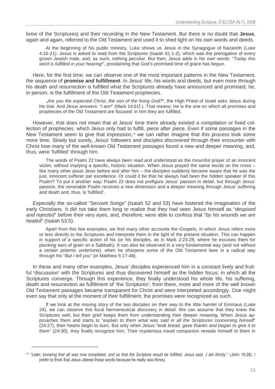brew of the Scriptures) and their recording in the New Testament. But there is no doubt that **Jesus**, again and again, referred to the Old Testament and used it to shed light on his own words and deeds.

At the beginning of his public ministry, Luke shows us Jesus in the Synagogue of Nazareth (Luke 4:16-21): Jesus is asked to read from the Scriptures (Isaiah 61:1-2), which was the prerogative of every grown Jewish male, and, as such, nothing peculiar. But then, Jesus adds in his own words: "Today this word is fulfilled in your hearing!", proclaiming that God's promised time of grace has begun.

Here, for the first time, we can observe one of the most important patterns in the New Testament, the sequence of **promise and fulfillment**. In Jesus' life, his words and deeds, but even more through his death and resurrection is fulfilled what the Scriptures already have announced and promised; he, in person, is the fulfillment of the Old Testament prophecies.

.. Are you the expected Christ, the son of the living God?", the High Priest of Israel asks Jesus during his trial. And Jesus answers: "I am!" (Mark 14:61f.). That means: He is the one on which all promises and prophecies of the Old Testament are focused; in him they are fulfilled.

However, that does not mean that at Jesus' time there already existed a compilation or fixed collection of prophecies, which Jesus only had to fulfill, piece after piece. Even if some passages in the New Testament seem to give that impression,<sup>14</sup> we can rather imagine that this process took some more time. Slowly but surely, Jesus' followers and disciples discovered through their encounter with Christ how many of the well-known Old Testament passages found a new and deeper meaning, and, thus, were 'fulfilled' through him.

The words of Psalm 22 have always been read and understood as the mournful prayer of an innocent victim, without implying a specific, historic situation. When Jesus prayed the same words on the cross – like many other pious Jews before and after him – the disciples suddenly became aware that he was the just, innocent sufferer par excellence. Or could it be that he always had been the hidden speaker of this Psalm? To put it another way: Psalm 22 does not prefigure Jesus' passion in detail, but through Jesus' passion, the venerable Psalm receives a new dimension and a deeper meaning through Jesus' suffering and death and, thus, is 'fulfilled'.

Especially the so-called "Servant Songs" (Isaiah 52 and 53) have fostered the imagination of the early Christians. It did not take them long to realize that they had seen Jesus himself as "despised and rejected" before their very eyes, and, therefore, were able to confess that "by his wounds we are healed" (Isaiah 53:5).

Apart from this few examples, we find many other accounts the Gospels, in which Jesus refers more or less directly to the Scriptures and interprets them in the light of the present situation. This can happen in support of a specific action of his (or his disciples, as in Mark 2:23-28, where he excuses them for plucking ears of grain on a Sabbath). It can also be observed in a very fundamental way (and not without a certain polemic undertone), when he sharpens some of the Old Testament laws in a radical way through his "But I tell you" (in Matthew 5:17-48).

In these and many other examples, Jesus' disciples experienced him in a constant lively and fruitful 'discussion' with the Scriptures and thus discovered himself as the hidden focus, in which all the Scriptures converge. Through this experience, they finally understood his whole life, his suffering, death and resurrection as fulfillment of 'the Scriptures'; from there, more and more of the well known Old Testament passages became transparent for Christ and were interpreted accordingly. One might even say that only at the moment of their fulfillment, the promises were recognized as such.

If we look at the moving story of the two disciples on their way to the little hamlet of Emmaus (Luke 24), we can observe this focal hermeneutical discovery in detail. We can assume that they knew the Scriptures well, but their grief keeps them from understanding their deeper meaning. When Jesus approaches them and starts to "explain to them what was said in all the Scriptures concerning himself" (24:27), their hearts begin to burn. But only when Jesus "took bread, gave thanks and began to give it to them" (24:30), they finally recognize him: Their mysterious travel companion reveals himself to them in

<sup>&</sup>lt;sup>14</sup> "Later, knowing that all was now completed, and so that the Scripture would be fulfilled, Jesus said, ,I am thirsty'." (John 19:28). I prefer to think that Jesus uttered these words because he really was thirsty.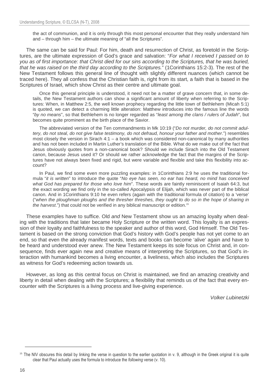the act of communion, and it is only through this most personal encounter that they really understand him and – through him – the ultimate meaning of "all the Scriptures".

The same can be said for Paul: For him, death and resurrection of Christ, as foretold in the Scriptures, are the ultimate expression of God's grace and salvation: "For what I received I passed on to you as of first importance: that Christ died for our sins according to the Scriptures, that he was buried, that he was raised on the third day according to the Scriptures." (1Corinthians 15:2-3). The rest of the New Testament follows this general line of thought with slightly different nuances (which cannot be traced here). They all confess that the Christian faith is, right from its start, a faith that is based in the Scriptures of Israel, which show Christ as their centre and ultimate goal.

Once this general principle is understood, it need not be a matter of grave concern that, in some details, the New Testament authors can show a significant amount of liberty when referring to the Scriptures: When, in Matthew 2:5, the well known prophecy regarding the little town of Bethlehem (Micah 5:1) is quoted, we can detect a charming little alteration: Matthew introduces into the famous line the words "by no means", so that Bethlehem is no longer regarded as "least among the clans / rulers of Judah", but becomes quite prominent as the birth place of the Savior.

The abbreviated version of the Ten commandments in Mk 10:19 ("Do not murder, do not commit adultery, do not steal, do not give false testimony, do not defraud, honour your father and mother.") resembles most closely the version in Sirach 4:1 – a book which was considered non-canonical by many authorities and has not been included in Martin Luther's translation of the Bible. What do we make out of the fact that Jesus obviously quotes from a non-canonical book? Should we include Sirach into the Old Testament canon, because Jesus used it? Or should we rather acknowledge the fact that the margins of the Scriptures have not always been fixed and rigid, but were variable and flexible and take this flexibility into account?

In Paul, we find some even more puzzling examples: in 1Corinthians 2:9 he uses the traditional formula "it is written" to introduce the quote "No eye has seen, no ear has heard, no mind has conceived what God has prepared for those who love him". These words are faintly reminiscent of Isaiah 64:3, but the exact wording we find only in the so-called Apocalypsis of Elijah, which was never part of the biblical canon. And in 1Corinthians 9:10 he even refers (again with the traditional formula of citation) to a 'verse' ("when the ploughman ploughs and the thresher threshes, they ought to do so in the hope of sharing in the harvest.") that could not be verified in any biblical manuscript or edition.<sup>15</sup>

These examples have to suffice. Old and New Testament show us an amazing loyalty when dealing with the traditions that later became Holy Scripture or the written word. This loyalty is an expression of their loyalty and faithfulness to the speaker and author of this word, God Himself. The Old Testament is based on the strong conviction that God's history with God's people has not yet come to an end, so that even the already manifest words, texts and books can become 'alive' again and have to be heard and understood ever anew. The New Testament keeps its sole focus on Christ and, in consequence, finds ever again new and creative means of interpreting the Scriptures, so that God's interaction with humankind becomes a living encounter, a liveliness, which also includes the Scriptures as witness for God's redeeming action towards us.

However, as long as this central focus on Christ is maintained, we find an amazing creativity and liberty in detail when dealing with the Scriptures; a flexibility that reminds us of the fact that every encounter with the Scriptures is a living process and live-giving experience.

Volker Lubinetzki

<sup>&</sup>lt;sup>15</sup> The NIV obscures this detail by linking the verse in question to the earlier quotation in v. 9, although in the Greek original it is quite clear that Paul actually uses the formula to introduce the following verse (v. 10).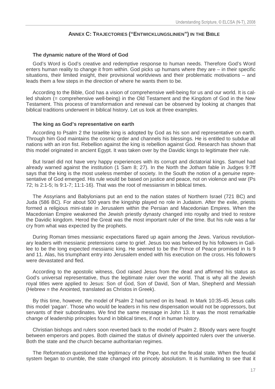#### **ANNEX C: TRAJECTORIES ("ENTWICKLUNGSLINIEN") IN THE BIBLE**

#### **The dynamic nature of the Word of God**

God's Word is God's creative and redemptive response to human needs. Therefore God's Word enters human reality to change it from within. God picks up humans where they are – in their specific situations, their limited insight, their provisional worldviews and their problematic motivations – and leads them a few steps in the direction of where he wants them to be.

According to the Bible, God has a vision of comprehensive well-being for us and our world. It is called shalom (= comprehensive well-being) in the Old Testament and the Kingdom of God in the New Testament. This process of transformation and renewal can be observed by looking at changes that biblical traditions underwent in biblical history. Let us look at three examples.

#### **The king as God's representative on earth**

According to Psalm 2 the Israelite king is adopted by God as his son and representative on earth. Through him God maintains the cosmic order and channels his blessings. He is entitled to subdue all nations with an iron fist. Rebellion against the king is rebellion against God. Research has shown that this model originated in ancient Egypt. It was taken over by the Davidic kings to legitimate their rule.

But Israel did not have very happy experiences with its corrupt and dictatorial kings. Samuel had already warned against the institution (1 Sam 8; 27). In the North the Jotham fable in Judges 9:7ff says that the king is the most useless member of society. In the South the notion of a *genuine* representative of God emerged. His rule would be based on justice and peace, not on violence and war (Ps 72; Is 2:1-5; Is 9:1-7; 11:1-16). That was the root of messianism in biblical times.

The Assyrians and Babylonians put an end to the nation states of Northern Israel (721 BC) and Juda (586 BC). For about 500 years the kingship played no role in Judaism. After the exile, priests formed a religious mini-state in Jerusalem within the Persian and Macedonian Empires. When the Macedonian Empire weakened the Jewish priestly dynasty changed into royalty and tried to restore the Davidic kingdom. Herod the Great was the most important ruler of the time. But his rule was a far cry from what was expected by the prophets.

During Roman times messianic expectations flared up again among the Jews. Various revolutionary leaders with messianic pretensions came to grief. Jesus too was believed by his followers in Galilee to be the long expected messianic king. He seemed to be the Prince of Peace promised in Is 9 and 11. Alas, his triumphant entry into Jerusalem ended with his execution on the cross. His followers were devastated and fled.

According to the apostolic witness, God raised Jesus from the dead and affirmed his status as God's universal representative, thus the legitimate ruler over the world. That is why all the Jewish royal titles were applied to Jesus: Son of God, Son of David, Son of Man, Shepherd and Messiah (Hebrew = the Anointed, translated as Christos in Greek).

By this time, however, the model of Psalm 2 had turned on its head. In Mark 10:35-45 Jesus calls this model 'pagan'. Those who would be leaders in his new dispensation would not be oppressors, but servants of their subordinates. We find the same message in John 13. It was the most remarkable change of leadership principles found in biblical times, if not in human history.

Christian bishops and rulers soon reverted back to the model of Psalm 2. Bloody wars were fought between emperors and popes. Both claimed the status of divinely appointed rulers over the universe. Both the state and the church became authoritarian regimes.

The Reformation questioned the legitimacy of the Pope, but not the feudal state. When the feudal system began to crumble, the state changed into princely absolutism. It is humiliating to see that it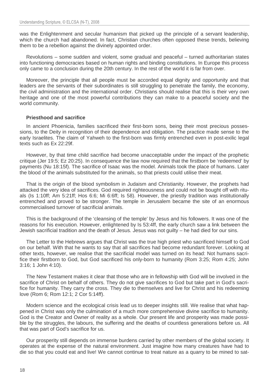was the Enlightenment and secular humanism that picked up the principle of a servant leadership, which the church had abandoned. In fact, Christian churches often opposed these trends, believing them to be a rebellion against the divinely appointed order.

Revolutions – some sudden and violent, some gradual and peaceful – turned authoritarian states into functioning democracies based on human rights and binding constitutions. In Europe this process only came to a conclusion during the 20th century. In the rest of the world it is far from over.

Moreover, the principle that all people must be accorded equal dignity and opportunity and that leaders are the servants of their subordinates is still struggling to penetrate the family, the economy, the civil administration and the international order. Christians should realise that this is their very own heritage and one of the most powerful contributions they can make to a peaceful society and the world community.

#### **Priesthood and sacrifice**

In ancient Phoenicia, families sacrificed their first-born sons, being their most precious possessions, to the Deity in recognition of their dependence and obligation. The practice made sense to the early Israelites. The claim of Yahweh to the first-born was firmly entrenched even in post-exilic legal texts such as Ex 22:29f.

However, by that time child sacrifice had become unacceptable under the impact of the prophetic critique (Jer 19:5; Ez 20:25). In consequence the law now required that the firstborn be 'redeemed' by payments (Nu 18:15f). The sacrifice of Isaac was the model. Animals took the place of humans. Later the blood of the animals substituted for the animals, so that priests could utilise their meat.

That is the origin of the blood symbolism in Judaism and Christianity. However, the prophets had attacked the very idea of sacrifices. God required righteousness and could not be bought off with rituals (Is 1:10ff; Am 5:21ff; Hos 6:6; Mi 6:6ff; Is 58). However, the priestly tradition was institutionally entrenched and proved to be stronger. The temple in Jerusalem became the site of an enormous commercialised turnover of sacrificial animals.

This is the background of the 'cleansing of the temple' by Jesus and his followers. It was one of the reasons for his execution. However, enlightened by Is 53:4ff, the early church saw a link between the Jewish sacrificial tradition and the death of Jesus. Jesus was not guilty – he had died for our sins.

The Letter to the Hebrews argues that Christ was the true high priest who sacrificed himself to God on our behalf. With that he wants to say that all sacrifices had become redundant forever. Looking at other texts, however, we realise that the sacrificial model was turned on its head: Not humans sacrifice their firstborn to God, but God sacrificed his only-born to humanity (Rom 3:25; Rom 4:25; John 3:16; 1 John 4:10).

The New Testament makes it clear that those who are in fellowship with God will be involved in the sacrifice of Christ on behalf of others. They do not give sacrifices to God but take part in God's sacrifice for humanity. They carry the cross. They die to themselves and live for Christ and his redeeming love (Rom 6; Rom 12:1; 2 Cor 5:14ff).

Modern science and the ecological crisis lead us to deeper insights still. We realise that what happened in Christ was only the culmination of a much more comprehensive divine sacrifice to humanity. God is the Creator and Owner of reality as a whole. Our present life and prosperity was made possible by the struggles, the labours, the suffering and the deaths of countless generations before us. All that was part of God's sacrifice for us.

Our prosperity still depends on immense burdens carried by other members of the global society. It operates at the expense of the natural environment. Just imagine how many creatures have had to die so that you could eat and live! We cannot continue to treat nature as a quarry to be mined to sat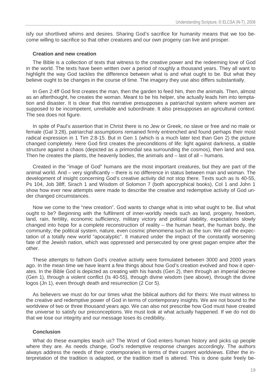isfy our shortlived whims and desires. Sharing God's sacrifice for humanity means that we too become willing to sacrifice so that other creatures and our own progeny can live and prosper.

#### **Creation and new creation**

The Bible is a collection of texts that witness to the creative power and the redeeming love of God in the world. The texts have been written over a period of roughly a thousand years. They all want to highlight the way God tackles the difference between what is and what ought to be. But what they believe ought to be changes in the course of time. The imagery they use also differs substantially.

In Gen 2:4ff God first creates the man, then the garden to feed him, then the animals. Then, almost as an afterthought, he creates the woman. Meant to be his helper, she actually leads him into temptation and disaster. It is clear that this narrative presupposes a patriarchal system where women are supposed to be incompetent, unreliable and subordinate. It also presupposes an agricultural context. The sea does not figure.

In spite of Paul's assertion that in Christ there is no Jew or Greek, no slave or free and no male or female (Gal 3:28), patriarchal assumptions remained firmly entrenched and found perhaps their most radical expression in 1 Tim 2:8-15. But in Gen 1 (which is a much later text than Gen 2) the picture changed completely. Here God first creates the preconditions of life: light against darkness, a stable structure against a chaos (depicted as a primordial sea surrounding the cosmos), then land and sea. Then he creates the plants, the heavenly bodies, the animals and – last of all – humans.

Created in the "image of God" humans are the most important creatures, but they are part of the animal world. And – very significantly – there is no difference in status between man and woman. The development of insight concerning God's creative activity did not stop there. Texts such as Is 40-55, Ps 104, Job 38ff, Sirach 1 and Wisdom of Solomon 7 (both apocryphical books), Col 1 and John 1 show how ever new attempts were made to describe the creative and redemptive activity of God under changed circumstances.

Now we come to the "new creation". God wants to change what is into what ought to be. But what ought to be? Beginning with the fulfilment of inner-worldly needs such as land, progeny, freedom, land, rain, fertility, economic sufficiency, military victory and political stability, expectations slowly changed into hope for a complete reconstruction of reality – the human heart, the human body, the community, the political system, nature, even cosmic phenomena such as the sun. We call the expectation of a totally new world "apocalyptic". It matured under the impact of the constantly worsening fate of the Jewish nation, which was oppressed and persecuted by one great pagan empire after the other.

These attempts to fathom God's creative activity were formulated between 3000 and 2000 years ago. In the mean time we have learnt a few things about how God's creation evolved and how it operates. In the Bible God is depicted as creating with his hands (Gen 2), then through an imperial decree (Gen 1), through a violent conflict (Is 40-55), through divine wisdom (see above), through the divine logos (Jn 1), even through death and resurrection (2 Cor 5).

As believers we must do for our times what the biblical authors did for theirs: We must witness to the creative and redemptive power of God in terms of contemporary insights. We are not bound to the worldview of two or three thousand years ago. We can also not prescribe how God must have created the universe to satisfy our preconceptions. We must look at what actually happened. If we do not do that we lose our integrity and our message loses its credibility.

#### **Conclusion**

What do these examples teach us? The Word of God enters human history and picks up people where they are. As needs change, God's redemptive response changes accordingly. The authors always address the needs of their contemporaries in terms of their current worldviews. Either the interpretation of the tradition is adapted, or the tradition itself is altered. This is done quite freely be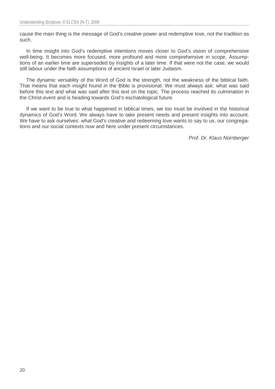cause the main thing is the message of God's creative power and redemptive love, not the tradition as such.

In time insight into God's redemptive intentions moves closer to God's vision of comprehensive well-being. It becomes more focused, more profound and more comprehensive in scope. Assumptions of an earlier time are superseded by insights of a later time. If that were not the case, we would still labour under the faith assumptions of ancient Israel or later Judaism.

The dynamic versatility of the Word of God is the strength, not the weakness of the biblical faith. That means that each insight found in the Bible is provisional. We must always ask: what was said before this text and what was said after this text on the topic. The process reached its culmination in the Christ-event and is heading towards God's eschatological future.

If we want to be true to what happened in biblical times, we too must be involved in the historical dynamics of God's Word. We always have to take present needs and present insights into account. We have to ask ourselves: what God's creative and redeeming love wants to say to us, our congregations and our social contexts now and here under present circumstances.

Prof. Dr. Klaus Nürnberger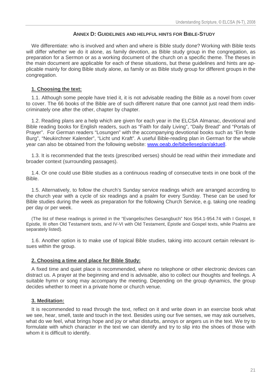#### **ANNEX D: GUIDELINES AND HELPFUL HINTS FOR BIBLE-STUDY**

We differentiate: who is involved and when and where is Bible study done? Working with Bible texts will differ whether we do it alone, as family devotion, as Bible study group in the congregation, as preparation for a Sermon or as a working document of the church on a specific theme. The theses in the main document are applicable for each of these situations, but these guidelines and hints are applicable mainly for doing Bible study alone, as family or as Bible study group for different groups in the congregation.

#### **1. Choosing the text:**

1.1. Although some people have tried it, it is not advisable reading the Bible as a novel from cover to cover. The 66 books of the Bible are of such different nature that one cannot just read them indiscriminately one after the other, chapter by chapter.

1.2. Reading plans are a help which are given for each year in the ELCSA Almanac, devotional and Bible reading books for English readers, such as "Faith for daily Living", "Daily Bread" and "Portals of Prayer". For German readers "Losungen" with the accompanying devotional books such as "Ein feste Burg", "Neukirchner Kalender", "Licht und Kraft". A useful Bible-reading plan in German for the whole year can also be obtained from the following website: www.oeab.de/bibelleseplan/aktuell.

1.3. It is recommended that the texts (prescribed verses) should be read within their immediate and broader context (surrounding passages).

1.4. Or one could use Bible studies as a continuous reading of consecutive texts in one book of the Bible.

1.5. Alternatively, to follow the church's Sunday service readings which are arranged according to the church year with a cycle of six readings and a psalm for every Sunday. These can be used for Bible studies during the week as preparation for the following Church Service, e.g. taking one reading per day or per week.

(The list of these readings is printed in the "Evangelisches Gesangbuch" Nos 954.1-954.74 with I Gospel, II Epistle, III often Old Testament texts, and IV-VI with Old Testament, Epistle and Gospel texts, while Psalms are separately listed).

1.6. Another option is to make use of topical Bible studies, taking into account certain relevant issues within the group.

#### **2. Choosing a time and place for Bible Study:**

A fixed time and quiet place is recommended, where no telephone or other electronic devices can distract us. A prayer at the beginning and end is advisable, also to collect our thoughts and feelings. A suitable hymn or song may accompany the meeting. Depending on the group dynamics, the group decides whether to meet in a private home or church venue.

#### **3. Meditation:**

It is recommended to read through the text, reflect on it and write down in an exercise book what we see, hear, smell, taste and touch in the text. Besides using our five senses, we may ask ourselves, what do we feel, what brings hope and joy or what disturbs, annoys or angers us in the text. We try to formulate with which character in the text we can identify and try to slip into the shoes of those with whom it is difficult to identify.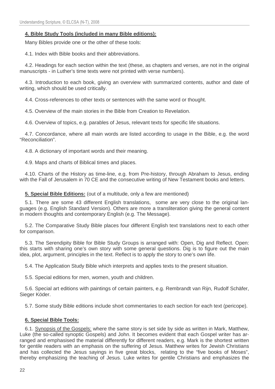## **4. Bible Study Tools (included in many Bible editions):**

Many Bibles provide one or the other of these tools:

4.1. Index with Bible books and their abbreviations.

4.2. Headings for each section within the text (these, as chapters and verses, are not in the original manuscripts - in Luther's time texts were not printed with verse numbers).

4.3. Introduction to each book, giving an overview with summarized contents, author and date of writing, which should be used critically.

4.4. Cross-references to other texts or sentences with the same word or thought.

4.5. Overview of the main stories in the Bible from Creation to Revelation.

4.6. Overview of topics, e.g. parables of Jesus, relevant texts for specific life situations.

4.7. Concordance, where all main words are listed according to usage in the Bible, e.g. the word "Reconciliation".

4.8. A dictionary of important words and their meaning.

4.9. Maps and charts of Biblical times and places.

4.10. Charts of the History as time-line, e.g. from Pre-history, through Abraham to Jesus, ending with the Fall of Jerusalem in 70 CE and the consecutive writing of New Testament books and letters.

**5. Special Bible Editions:** (out of a multitude, only a few are mentioned)

5.1. There are some 43 different English translations, some are very close to the original languages (e.g. English Standard Version). Others are more a transliteration giving the general content in modern thoughts and contemporary English (e.g. The Message).

5.2. The Comparative Study Bible places four different English text translations next to each other for comparison.

5.3. The Serendipity Bible for Bible Study Groups is arranged with: Open, Dig and Reflect. Open: this starts with sharing one's own story with some general questions. Dig is to figure out the main idea, plot, argument, principles in the text. Reflect is to apply the story to one's own life.

5.4. The Application Study Bible which interprets and applies texts to the present situation.

5.5. Special editions for men, women, youth and children.

5.6. Special art editions with paintings of certain painters, e.g. Rembrandt van Rijn, Rudolf Schäfer, Sieger Köder.

5.7. Some study Bible editions include short commentaries to each section for each text (pericope).

#### **6. Special Bible Tools:**

6.1. Synopsis of the Gospels: where the same story is set side by side as written in Mark, Matthew, Luke (the so-called synoptic Gospels) and John. It becomes evident that each Gospel writer has arranged and emphasised the material differently for different readers, e.g. Mark is the shortest written for gentile readers with an emphasis on the suffering of Jesus. Matthew writes for Jewish Christians and has collected the Jesus sayings in five great blocks, relating to the "five books of Moses", thereby emphasizing the teaching of Jesus. Luke writes for gentile Christians and emphasizes the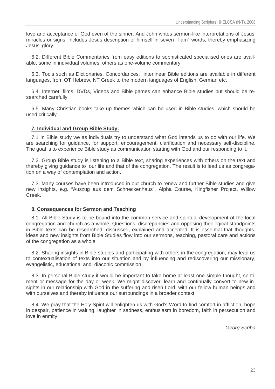love and acceptance of God even of the sinner. And John writes sermon-like interpretations of Jesus' miracles or signs, includes Jesus description of himself in seven "I am" words, thereby emphasizing Jesus' glory.

6.2. Different Bible Commentaries from easy editions to sophisticated specialised ones are available, some in individual volumes, others as one-volume commentary.

6.3. Tools such as Dictionaries, Concordances, interlinear Bible editions are available in different languages, from OT Hebrew, NT Greek to the modern languages of English, German etc.

6.4. Internet, films, DVDs, Videos and Bible games can enhance Bible studies but should be researched carefully.

6.5. Many Christian books take up themes which can be used in Bible studies, which should be used critically.

#### **7. Individual and Group Bible Study:**

7.1 In Bible study we as individuals try to understand what God intends us to do with our life. We are searching for guidance, for support, encouragement, clarification and necessary self-discipline. The goal is to experience Bible study as communication starting with God and our responding to it.

7.2. Group Bible study is listening to a Bible text, sharing experiences with others on the text and thereby giving guidance to our life and that of the congregation. The result is to lead us as congregation on a way of contemplation and action.

7.3. Many courses have been introduced in our church to renew and further Bible studies and give new insights, e.g. "Auszug aus dem Schneckenhaus", Alpha Course, Kingfisher Project, Willow Creek.

#### **8. Consequences for Sermon and Teaching**

8.1. All Bible Study is to be bound into the common service and spiritual development of the local congregation and church as a whole. Questions, discrepancies and opposing theological standpoints in Bible texts can be researched, discussed, explained and accepted. It is essential that thoughts, ideas and new insights from Bible Studies flow into our sermons, teaching, pastoral care and actions of the congregation as a whole.

8.2. Sharing insights in Bible studies and participating with others in the congregation, may lead us to contextualisation of texts into our situation and by influencing and rediscovering our missionary, evangelistic, educational and diaconic commission.

8.3. In personal Bible study it would be important to take home at least one simple thought, sentiment or message for the day or week. We might discover, learn and continually convert to new insights in our relationship with God in the suffering and risen Lord, with our fellow human beings and with ourselves and thereby influence our surroundings in a broader context.

8.4. We pray that the Holy Spirit will enlighten us with God's Word to find comfort in affliction, hope in despair, patience in waiting, laughter in sadness, enthusiasm in boredom, faith in persecution and love in enmity.

Georg Scriba